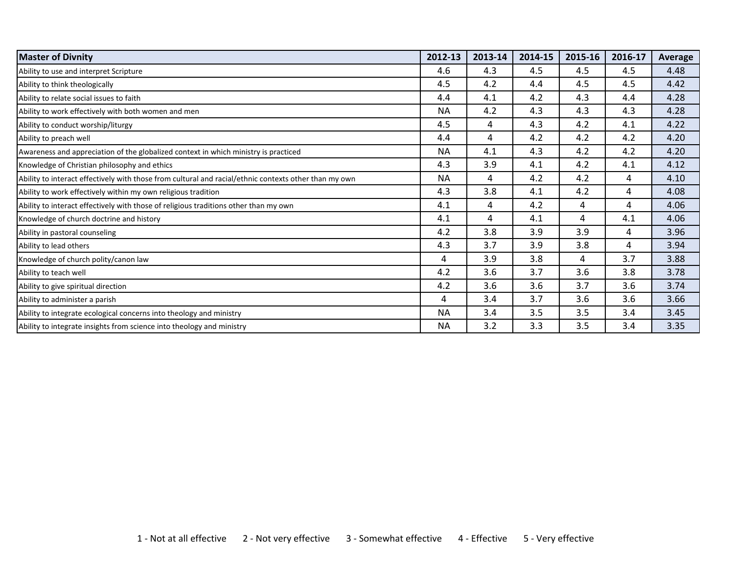| <b>Master of Divnity</b>                                                                              | 2012-13   | 2013-14 | 2014-15 | 2015-16 | 2016-17 | Average |
|-------------------------------------------------------------------------------------------------------|-----------|---------|---------|---------|---------|---------|
| Ability to use and interpret Scripture                                                                | 4.6       | 4.3     | 4.5     | 4.5     | 4.5     | 4.48    |
| Ability to think theologically                                                                        | 4.5       | 4.2     | 4.4     | 4.5     | 4.5     | 4.42    |
| Ability to relate social issues to faith                                                              | 4.4       | 4.1     | 4.2     | 4.3     | 4.4     | 4.28    |
| Ability to work effectively with both women and men                                                   | <b>NA</b> | 4.2     | 4.3     | 4.3     | 4.3     | 4.28    |
| Ability to conduct worship/liturgy                                                                    | 4.5       | 4       | 4.3     | 4.2     | 4.1     | 4.22    |
| Ability to preach well                                                                                | 4.4       | 4       | 4.2     | 4.2     | 4.2     | 4.20    |
| Awareness and appreciation of the globalized context in which ministry is practiced                   | <b>NA</b> | 4.1     | 4.3     | 4.2     | 4.2     | 4.20    |
| Knowledge of Christian philosophy and ethics                                                          | 4.3       | 3.9     | 4.1     | 4.2     | 4.1     | 4.12    |
| Ability to interact effectively with those from cultural and racial/ethnic contexts other than my own | <b>NA</b> | 4       | 4.2     | 4.2     | 4       | 4.10    |
| Ability to work effectively within my own religious tradition                                         | 4.3       | 3.8     | 4.1     | 4.2     | 4       | 4.08    |
| Ability to interact effectively with those of religious traditions other than my own                  | 4.1       | 4       | 4.2     | 4       | 4       | 4.06    |
| Knowledge of church doctrine and history                                                              | 4.1       | 4       | 4.1     | 4       | 4.1     | 4.06    |
| Ability in pastoral counseling                                                                        | 4.2       | 3.8     | 3.9     | 3.9     | 4       | 3.96    |
| Ability to lead others                                                                                | 4.3       | 3.7     | 3.9     | 3.8     | 4       | 3.94    |
| Knowledge of church polity/canon law                                                                  | 4         | 3.9     | 3.8     | 4       | 3.7     | 3.88    |
| Ability to teach well                                                                                 | 4.2       | 3.6     | 3.7     | 3.6     | 3.8     | 3.78    |
| Ability to give spiritual direction                                                                   | 4.2       | 3.6     | 3.6     | 3.7     | 3.6     | 3.74    |
| Ability to administer a parish                                                                        | 4         | 3.4     | 3.7     | 3.6     | 3.6     | 3.66    |
| Ability to integrate ecological concerns into theology and ministry                                   | <b>NA</b> | 3.4     | 3.5     | 3.5     | 3.4     | 3.45    |
| Ability to integrate insights from science into theology and ministry                                 | <b>NA</b> | 3.2     | 3.3     | 3.5     | 3.4     | 3.35    |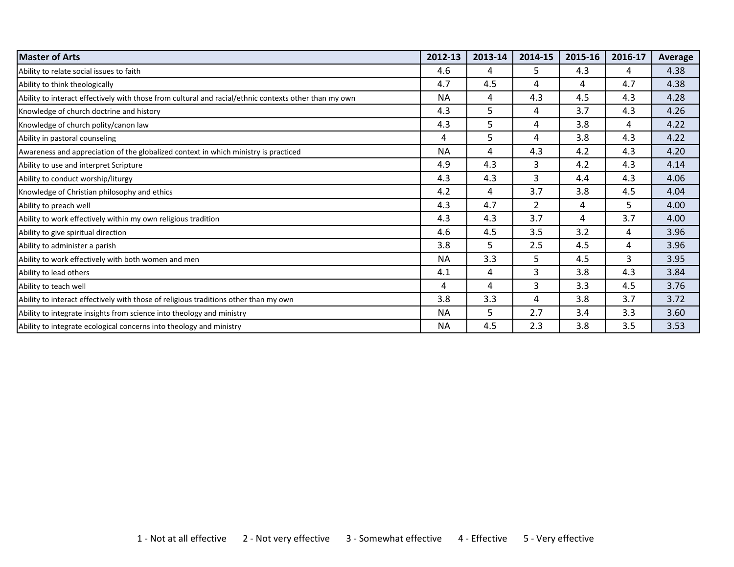| <b>Master of Arts</b>                                                                                 | 2012-13   | 2013-14 | 2014-15        | 2015-16 | 2016-17 | Average |
|-------------------------------------------------------------------------------------------------------|-----------|---------|----------------|---------|---------|---------|
| Ability to relate social issues to faith                                                              | 4.6       | 4       | 5              | 4.3     | 4       | 4.38    |
| Ability to think theologically                                                                        | 4.7       | 4.5     | 4              | 4       | 4.7     | 4.38    |
| Ability to interact effectively with those from cultural and racial/ethnic contexts other than my own | <b>NA</b> | 4       | 4.3            | 4.5     | 4.3     | 4.28    |
| Knowledge of church doctrine and history                                                              | 4.3       | 5       | 4              | 3.7     | 4.3     | 4.26    |
| Knowledge of church polity/canon law                                                                  | 4.3       | 5       | 4              | 3.8     | 4       | 4.22    |
| Ability in pastoral counseling                                                                        | 4         | 5       | 4              | 3.8     | 4.3     | 4.22    |
| Awareness and appreciation of the globalized context in which ministry is practiced                   | <b>NA</b> | 4       | 4.3            | 4.2     | 4.3     | 4.20    |
| Ability to use and interpret Scripture                                                                | 4.9       | 4.3     | 3              | 4.2     | 4.3     | 4.14    |
| Ability to conduct worship/liturgy                                                                    | 4.3       | 4.3     | 3              | 4.4     | 4.3     | 4.06    |
| Knowledge of Christian philosophy and ethics                                                          | 4.2       | 4       | 3.7            | 3.8     | 4.5     | 4.04    |
| Ability to preach well                                                                                | 4.3       | 4.7     | $\overline{2}$ | 4       | 5       | 4.00    |
| Ability to work effectively within my own religious tradition                                         | 4.3       | 4.3     | 3.7            | 4       | 3.7     | 4.00    |
| Ability to give spiritual direction                                                                   | 4.6       | 4.5     | 3.5            | 3.2     | 4       | 3.96    |
| Ability to administer a parish                                                                        | 3.8       | 5.      | 2.5            | 4.5     | 4       | 3.96    |
| Ability to work effectively with both women and men                                                   | <b>NA</b> | 3.3     | 5.             | 4.5     | 3       | 3.95    |
| Ability to lead others                                                                                | 4.1       | 4       | 3              | 3.8     | 4.3     | 3.84    |
| Ability to teach well                                                                                 | 4         | 4       | 3              | 3.3     | 4.5     | 3.76    |
| Ability to interact effectively with those of religious traditions other than my own                  | 3.8       | 3.3     | 4              | 3.8     | 3.7     | 3.72    |
| Ability to integrate insights from science into theology and ministry                                 | <b>NA</b> | 5       | 2.7            | 3.4     | 3.3     | 3.60    |
| Ability to integrate ecological concerns into theology and ministry                                   | <b>NA</b> | 4.5     | 2.3            | 3.8     | 3.5     | 3.53    |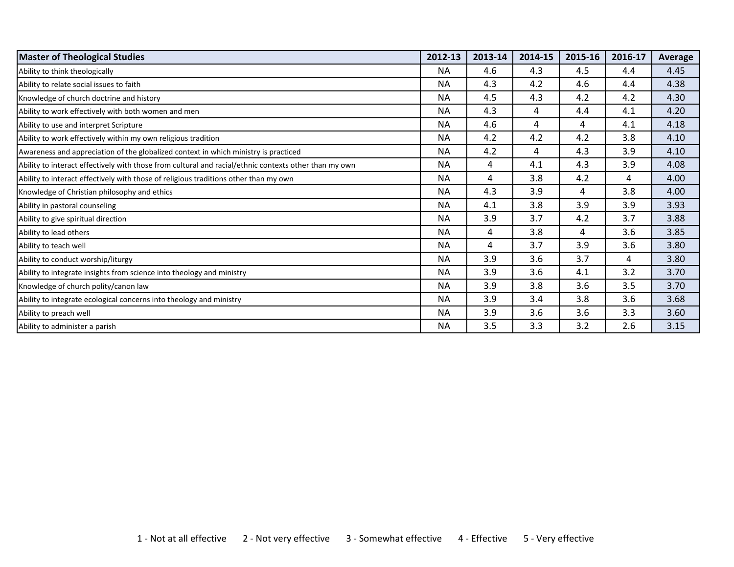| <b>Master of Theological Studies</b>                                                                  | 2012-13   | 2013-14 | 2014-15 | 2015-16 | 2016-17 | Average |
|-------------------------------------------------------------------------------------------------------|-----------|---------|---------|---------|---------|---------|
| Ability to think theologically                                                                        | <b>NA</b> | 4.6     | 4.3     | 4.5     | 4.4     | 4.45    |
| Ability to relate social issues to faith                                                              | <b>NA</b> | 4.3     | 4.2     | 4.6     | 4.4     | 4.38    |
| Knowledge of church doctrine and history                                                              | <b>NA</b> | 4.5     | 4.3     | 4.2     | 4.2     | 4.30    |
| Ability to work effectively with both women and men                                                   | <b>NA</b> | 4.3     | 4       | 4.4     | 4.1     | 4.20    |
| Ability to use and interpret Scripture                                                                | <b>NA</b> | 4.6     | 4       | 4       | 4.1     | 4.18    |
| Ability to work effectively within my own religious tradition                                         | <b>NA</b> | 4.2     | 4.2     | 4.2     | 3.8     | 4.10    |
| Awareness and appreciation of the globalized context in which ministry is practiced                   | <b>NA</b> | 4.2     | 4       | 4.3     | 3.9     | 4.10    |
| Ability to interact effectively with those from cultural and racial/ethnic contexts other than my own | <b>NA</b> | 4       | 4.1     | 4.3     | 3.9     | 4.08    |
| Ability to interact effectively with those of religious traditions other than my own                  | <b>NA</b> | 4       | 3.8     | 4.2     | 4       | 4.00    |
| Knowledge of Christian philosophy and ethics                                                          | <b>NA</b> | 4.3     | 3.9     | 4       | 3.8     | 4.00    |
| Ability in pastoral counseling                                                                        | <b>NA</b> | 4.1     | 3.8     | 3.9     | 3.9     | 3.93    |
| Ability to give spiritual direction                                                                   | <b>NA</b> | 3.9     | 3.7     | 4.2     | 3.7     | 3.88    |
| Ability to lead others                                                                                | <b>NA</b> | 4       | 3.8     | 4       | 3.6     | 3.85    |
| Ability to teach well                                                                                 | <b>NA</b> | 4       | 3.7     | 3.9     | 3.6     | 3.80    |
| Ability to conduct worship/liturgy                                                                    | <b>NA</b> | 3.9     | 3.6     | 3.7     | 4       | 3.80    |
| Ability to integrate insights from science into theology and ministry                                 | <b>NA</b> | 3.9     | 3.6     | 4.1     | 3.2     | 3.70    |
| Knowledge of church polity/canon law                                                                  | <b>NA</b> | 3.9     | 3.8     | 3.6     | 3.5     | 3.70    |
| Ability to integrate ecological concerns into theology and ministry                                   | <b>NA</b> | 3.9     | 3.4     | 3.8     | 3.6     | 3.68    |
| Ability to preach well                                                                                | <b>NA</b> | 3.9     | 3.6     | 3.6     | 3.3     | 3.60    |
| Ability to administer a parish                                                                        | <b>NA</b> | 3.5     | 3.3     | 3.2     | 2.6     | 3.15    |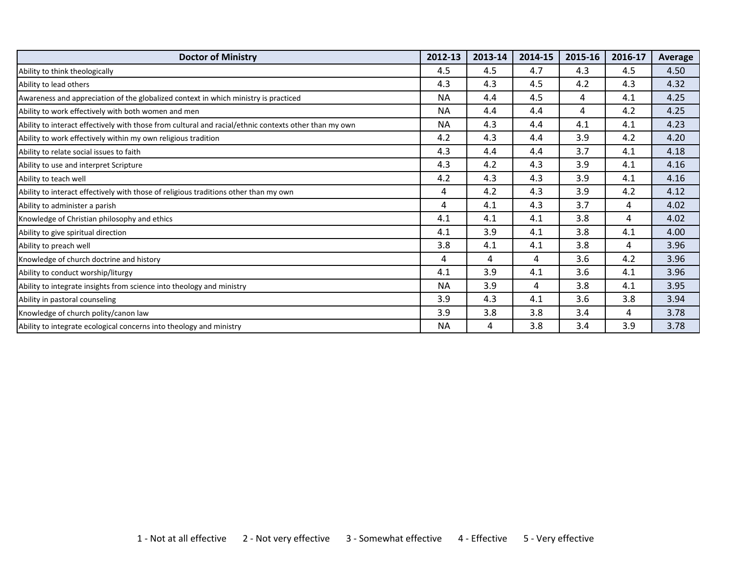| <b>Doctor of Ministry</b>                                                                             | 2012-13   | 2013-14 | 2014-15 | 2015-16 | 2016-17 | Average |
|-------------------------------------------------------------------------------------------------------|-----------|---------|---------|---------|---------|---------|
| Ability to think theologically                                                                        | 4.5       | 4.5     | 4.7     | 4.3     | 4.5     | 4.50    |
| Ability to lead others                                                                                | 4.3       | 4.3     | 4.5     | 4.2     | 4.3     | 4.32    |
| Awareness and appreciation of the globalized context in which ministry is practiced                   | <b>NA</b> | 4.4     | 4.5     | 4       | 4.1     | 4.25    |
| Ability to work effectively with both women and men                                                   | <b>NA</b> | 4.4     | 4.4     | 4       | 4.2     | 4.25    |
| Ability to interact effectively with those from cultural and racial/ethnic contexts other than my own | <b>NA</b> | 4.3     | 4.4     | 4.1     | 4.1     | 4.23    |
| Ability to work effectively within my own religious tradition                                         | 4.2       | 4.3     | 4.4     | 3.9     | 4.2     | 4.20    |
| Ability to relate social issues to faith                                                              | 4.3       | 4.4     | 4.4     | 3.7     | 4.1     | 4.18    |
| Ability to use and interpret Scripture                                                                | 4.3       | 4.2     | 4.3     | 3.9     | 4.1     | 4.16    |
| Ability to teach well                                                                                 | 4.2       | 4.3     | 4.3     | 3.9     | 4.1     | 4.16    |
| Ability to interact effectively with those of religious traditions other than my own                  | 4         | 4.2     | 4.3     | 3.9     | 4.2     | 4.12    |
| Ability to administer a parish                                                                        | 4         | 4.1     | 4.3     | 3.7     | 4       | 4.02    |
| Knowledge of Christian philosophy and ethics                                                          | 4.1       | 4.1     | 4.1     | 3.8     | 4       | 4.02    |
| Ability to give spiritual direction                                                                   | 4.1       | 3.9     | 4.1     | 3.8     | 4.1     | 4.00    |
| Ability to preach well                                                                                | 3.8       | 4.1     | 4.1     | 3.8     | 4       | 3.96    |
| Knowledge of church doctrine and history                                                              | 4         | 4       | 4       | 3.6     | 4.2     | 3.96    |
| Ability to conduct worship/liturgy                                                                    | 4.1       | 3.9     | 4.1     | 3.6     | 4.1     | 3.96    |
| Ability to integrate insights from science into theology and ministry                                 | <b>NA</b> | 3.9     | 4       | 3.8     | 4.1     | 3.95    |
| Ability in pastoral counseling                                                                        | 3.9       | 4.3     | 4.1     | 3.6     | 3.8     | 3.94    |
| Knowledge of church polity/canon law                                                                  | 3.9       | 3.8     | 3.8     | 3.4     | 4       | 3.78    |
| Ability to integrate ecological concerns into theology and ministry                                   | <b>NA</b> | 4       | 3.8     | 3.4     | 3.9     | 3.78    |